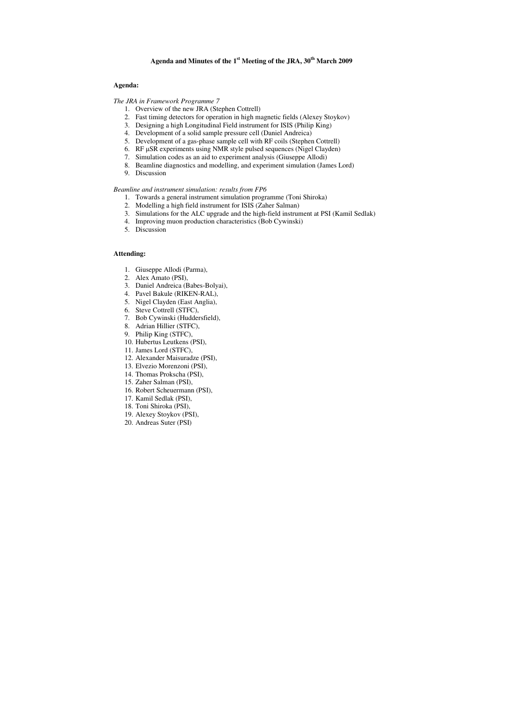# **Agenda and Minutes of the 1st Meeting of the JRA, 30th March 2009**

# **Agenda:**

# *The JRA in Framework Programme 7*

- 1. Overview of the new JRA (Stephen Cottrell)
- 2. Fast timing detectors for operation in high magnetic fields (Alexey Stoykov)
- 3. Designing a high Longitudinal Field instrument for ISIS (Philip King)
- 4. Development of a solid sample pressure cell (Daniel Andreica)
- 5. Development of a gas-phase sample cell with RF coils (Stephen Cottrell)
- 6. RF µSR experiments using NMR style pulsed sequences (Nigel Clayden)
- 7. Simulation codes as an aid to experiment analysis (Giuseppe Allodi)
- 8. Beamline diagnostics and modelling, and experiment simulation (James Lord)
- 9. Discussion

### *Beamline and instrument simulation: results from FP6*

- 1. Towards a general instrument simulation programme (Toni Shiroka)
- 2. Modelling a high field instrument for ISIS (Zaher Salman)
- 3. Simulations for the ALC upgrade and the high-field instrument at PSI (Kamil Sedlak)
- 4. Improving muon production characteristics (Bob Cywinski)
- 5. Discussion

# **Attending:**

- 1. Giuseppe Allodi (Parma),
- 2. Alex Amato (PSI),
- 3. Daniel Andreica (Babes-Bolyai),
- 4. Pavel Bakule (RIKEN-RAL),
- 5. Nigel Clayden (East Anglia),
- 6. Steve Cottrell (STFC),
- 7. Bob Cywinski (Huddersfield),
- 8. Adrian Hillier (STFC),
- 9. Philip King (STFC),
- 10. Hubertus Leutkens (PSI),
- 11. James Lord (STFC),
- 12. Alexander Maisuradze (PSI),
- 13. Elvezio Morenzoni (PSI),
- 14. Thomas Prokscha (PSI),
- 15. Zaher Salman (PSI),
- 16. Robert Scheuermann (PSI),
- 17. Kamil Sedlak (PSI),
- 18. Toni Shiroka (PSI),
- 19. Alexey Stoykov (PSI),
- 20. Andreas Suter (PSI)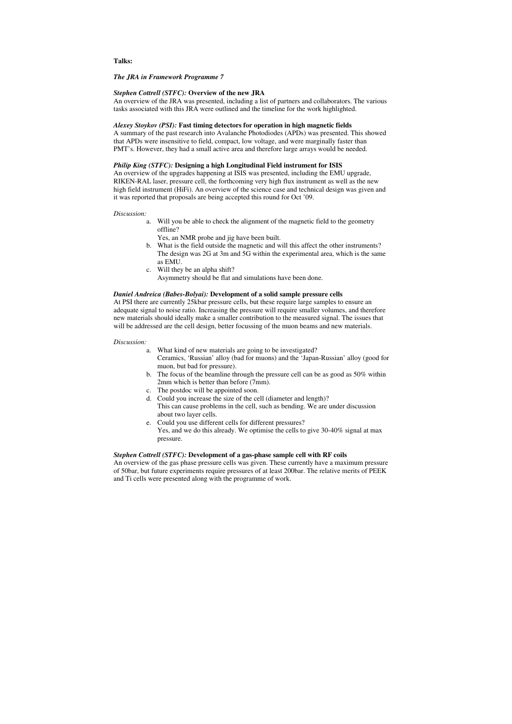**Talks:** 

## *The JRA in Framework Programme 7*

### *Stephen Cottrell (STFC):* **Overview of the new JRA**

An overview of the JRA was presented, including a list of partners and collaborators. The various tasks associated with this JRA were outlined and the timeline for the work highlighted.

## *Alexey Stoykov (PSI):* **Fast timing detectors for operation in high magnetic fields**

A summary of the past research into Avalanche Photodiodes (APDs) was presented. This showed that APDs were insensitive to field, compact, low voltage, and were marginally faster than PMT's. However, they had a small active area and therefore large arrays would be needed.

## *Philip King (STFC):* **Designing a high Longitudinal Field instrument for ISIS**

An overview of the upgrades happening at ISIS was presented, including the EMU upgrade, RIKEN-RAL laser, pressure cell, the forthcoming very high flux instrument as well as the new high field instrument (HiFi). An overview of the science case and technical design was given and it was reported that proposals are being accepted this round for Oct '09.

#### *Discussion:*

- a. Will you be able to check the alignment of the magnetic field to the geometry offline?
	- Yes, an NMR probe and jig have been built.
- b. What is the field outside the magnetic and will this affect the other instruments? The design was 2G at 3m and 5G within the experimental area, which is the same as EMU.
- c. Will they be an alpha shift? Asymmetry should be flat and simulations have been done.

# *Daniel Andreica (Babes-Bolyai):* **Development of a solid sample pressure cells**

At PSI there are currently 25kbar pressure cells, but these require large samples to ensure an adequate signal to noise ratio. Increasing the pressure will require smaller volumes, and therefore new materials should ideally make a smaller contribution to the measured signal. The issues that will be addressed are the cell design, better focussing of the muon beams and new materials.

#### *Discussion:*

- a. What kind of new materials are going to be investigated? Ceramics, 'Russian' alloy (bad for muons) and the 'Japan-Russian' alloy (good for muon, but bad for pressure).
- b. The focus of the beamline through the pressure cell can be as good as 50% within 2mm which is better than before (7mm).
- c. The postdoc will be appointed soon.
- d. Could you increase the size of the cell (diameter and length)?
- This can cause problems in the cell, such as bending. We are under discussion about two layer cells.
- e. Could you use different cells for different pressures? Yes, and we do this already. We optimise the cells to give 30-40% signal at max pressure.

### *Stephen Cottrell (STFC):* **Development of a gas-phase sample cell with RF coils**

An overview of the gas phase pressure cells was given. These currently have a maximum pressure of 50bar, but future experiments require pressures of at least 200bar. The relative merits of PEEK and Ti cells were presented along with the programme of work.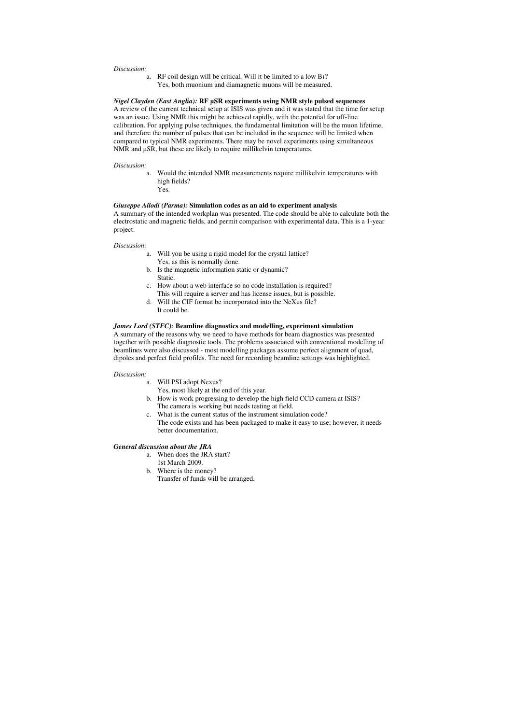#### *Discussion:*

a. RF coil design will be critical. Will it be limited to a low B1? Yes, both muonium and diamagnetic muons will be measured.

#### *Nigel Clayden (East Anglia): RF µSR experiments using NMR style pulsed sequences*

A review of the current technical setup at ISIS was given and it was stated that the time for setup was an issue. Using NMR this might be achieved rapidly, with the potential for off-line calibration. For applying pulse techniques, the fundamental limitation will be the muon lifetime, and therefore the number of pulses that can be included in the sequence will be limited when compared to typical NMR experiments. There may be novel experiments using simultaneous NMR and  $\mu$ SR, but these are likely to require millikelvin temperatures.

#### *Discussion:*

a. Would the intended NMR measurements require millikelvin temperatures with high fields? Yes.

### *Giuseppe Allodi (Parma):* **Simulation codes as an aid to experiment analysis**

A summary of the intended workplan was presented. The code should be able to calculate both the electrostatic and magnetic fields, and permit comparison with experimental data. This is a 1-year project.

#### *Discussion:*

- a. Will you be using a rigid model for the crystal lattice? Yes, as this is normally done.
- b. Is the magnetic information static or dynamic? Static.
- c. How about a web interface so no code installation is required? This will require a server and has license issues, but is possible.
- d. Will the CIF format be incorporated into the NeXus file? It could be.

# *James Lord (STFC):* **Beamline diagnostics and modelling, experiment simulation**

A summary of the reasons why we need to have methods for beam diagnostics was presented together with possible diagnostic tools. The problems associated with conventional modelling of beamlines were also discussed - most modelling packages assume perfect alignment of quad, dipoles and perfect field profiles. The need for recording beamline settings was highlighted.

#### *Discussion:*

- a. Will PSI adopt Nexus? Yes, most likely at the end of this year.
- b. How is work progressing to develop the high field CCD camera at ISIS? The camera is working but needs testing at field.
- c. What is the current status of the instrument simulation code?
- The code exists and has been packaged to make it easy to use; however, it needs better documentation.

### *General discussion about the JRA*

- a. When does the JRA start? 1st March 2009.
- b. Where is the money? Transfer of funds will be arranged.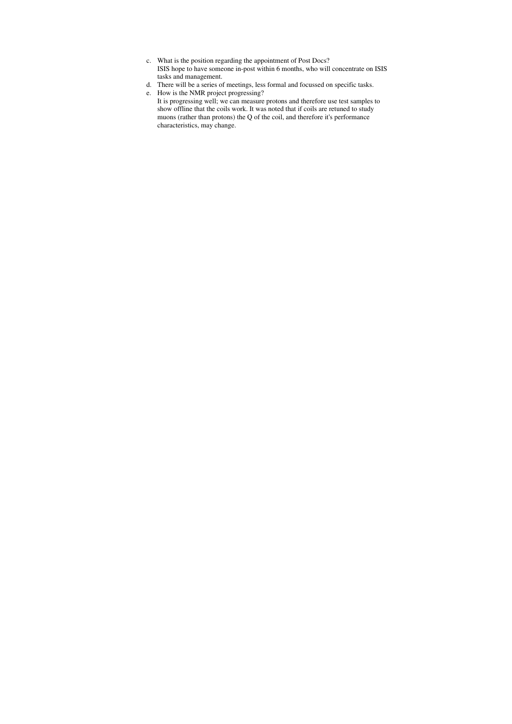- c. What is the position regarding the appointment of Post Docs? ISIS hope to have someone in-post within 6 months, who will concentrate on ISIS tasks and management.
- d. There will be a series of meetings, less formal and focussed on specific tasks.
- e. How is the NMR project progressing?

It is progressing well; we can measure protons and therefore use test samples to show offline that the coils work. It was noted that if coils are retuned to study muons (rather than protons) the Q of the coil, and therefore it's performance characteristics, may change.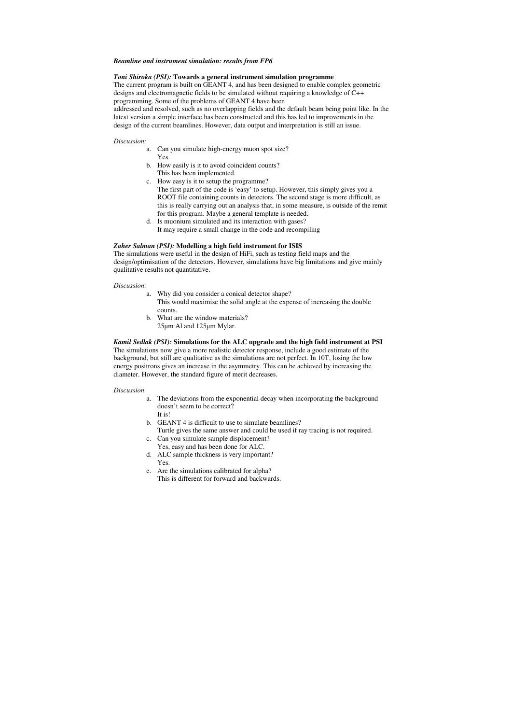## *Beamline and instrument simulation: results from FP6*

# *Toni Shiroka (PSI):* **Towards a general instrument simulation programme**

The current program is built on GEANT 4, and has been designed to enable complex geometric designs and electromagnetic fields to be simulated without requiring a knowledge of C++ programming. Some of the problems of GEANT 4 have been

addressed and resolved, such as no overlapping fields and the default beam being point like. In the latest version a simple interface has been constructed and this has led to improvements in the design of the current beamlines. However, data output and interpretation is still an issue.

#### *Discussion:*

- a. Can you simulate high-energy muon spot size? Yes.
- b. How easily is it to avoid coincident counts? This has been implemented.
- c. How easy is it to setup the programme? The first part of the code is 'easy' to setup. However, this simply gives you a ROOT file containing counts in detectors. The second stage is more difficult, as this is really carrying out an analysis that, in some measure, is outside of the remit for this program. Maybe a general template is needed.
- d. Is muonium simulated and its interaction with gases? It may require a small change in the code and recompiling

# *Zaher Salman (PSI):* **Modelling a high field instrument for ISIS**

The simulations were useful in the design of HiFi, such as testing field maps and the design/optimisation of the detectors. However, simulations have big limitations and give mainly qualitative results not quantitative.

### *Discussion:*

- a. Why did you consider a conical detector shape? This would maximise the solid angle at the expense of increasing the double counts.
- b. What are the window materials? 25µm Al and 125µm Mylar.

# *Kamil Sedlak (PSI):* **Simulations for the ALC upgrade and the high field instrument at PSI**

The simulations now give a more realistic detector response, include a good estimate of the background, but still are qualitative as the simulations are not perfect. In 10T, losing the low energy positrons gives an increase in the asymmetry. This can be achieved by increasing the diameter. However, the standard figure of merit decreases.

#### *Discussion*

- a. The deviations from the exponential decay when incorporating the background doesn't seem to be correct?
	- It is!
- b. GEANT 4 is difficult to use to simulate beamlines? Turtle gives the same answer and could be used if ray tracing is not required.
- c. Can you simulate sample displacement?
- Yes, easy and has been done for ALC.
- d. ALC sample thickness is very important? Yes.
- e. Are the simulations calibrated for alpha? This is different for forward and backwards.